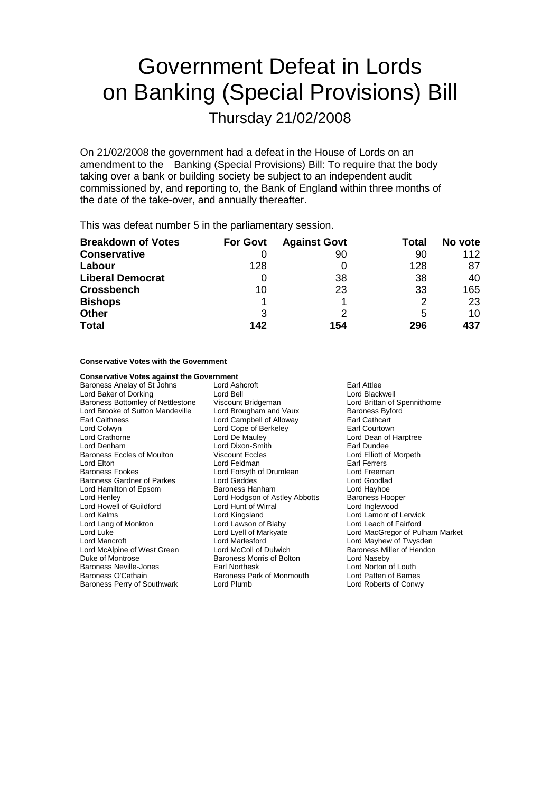# Government Defeat in Lords on Banking (Special Provisions) Bill

Thursday 21/02/2008

On 21/02/2008 the government had a defeat in the House of Lords on an amendment to the Banking (Special Provisions) Bill: To require that the body taking over a bank or building society be subject to an independent audit commissioned by, and reporting to, the Bank of England within three months of the date of the take-over, and annually thereafter.

This was defeat number 5 in the parliamentary session.

| <b>Breakdown of Votes</b> | <b>For Govt</b> | <b>Against Govt</b> | Total | No vote |
|---------------------------|-----------------|---------------------|-------|---------|
| <b>Conservative</b>       |                 | 90                  | 90    | 112     |
| Labour                    | 128             |                     | 128   | 87      |
| <b>Liberal Democrat</b>   |                 | 38                  | 38    | 40      |
| <b>Crossbench</b>         | 10              | 23                  | 33    | 165     |
| <b>Bishops</b>            |                 |                     | 2     | 23      |
| <b>Other</b>              | 3               |                     | 5     | 10      |
| <b>Total</b>              | 142             | 154                 | 296   | 437     |

**Conservative Votes with the Government**

| <b>Conservative Votes against the Government</b> |                                |                                 |  |
|--------------------------------------------------|--------------------------------|---------------------------------|--|
| Baroness Anelay of St Johns                      | Lord Ashcroft                  | Earl Attlee                     |  |
| Lord Baker of Dorking                            | Lord Bell                      | Lord Blackwell                  |  |
| Baroness Bottomley of Nettlestone                | Viscount Bridgeman             | Lord Brittan of Spennithorne    |  |
| Lord Brooke of Sutton Mandeville                 | Lord Brougham and Vaux         | <b>Baroness Byford</b>          |  |
| Earl Caithness                                   | Lord Campbell of Alloway       | Earl Cathcart                   |  |
| Lord Colwyn                                      | Lord Cope of Berkeley          | Earl Courtown                   |  |
| Lord Crathorne                                   | Lord De Mauley                 | Lord Dean of Harptree           |  |
| Lord Denham                                      | Lord Dixon-Smith               | Earl Dundee                     |  |
| Baroness Eccles of Moulton                       | <b>Viscount Eccles</b>         | Lord Elliott of Morpeth         |  |
| Lord Elton                                       | Lord Feldman                   | Earl Ferrers                    |  |
| Baroness Fookes                                  | Lord Forsyth of Drumlean       | Lord Freeman                    |  |
| Baroness Gardner of Parkes                       | Lord Geddes                    | Lord Goodlad                    |  |
| Lord Hamilton of Epsom                           | Baroness Hanham                | Lord Hayhoe                     |  |
| Lord Henley                                      | Lord Hodgson of Astley Abbotts | <b>Baroness Hooper</b>          |  |
| Lord Howell of Guildford                         | Lord Hunt of Wirral            | Lord Inglewood                  |  |
| Lord Kalms                                       | Lord Kingsland                 | Lord Lamont of Lerwick          |  |
| Lord Lang of Monkton                             | Lord Lawson of Blaby           | Lord Leach of Fairford          |  |
| Lord Luke                                        | Lord Lyell of Markyate         | Lord MacGregor of Pulham Market |  |
| Lord Mancroft                                    | Lord Marlesford                | Lord Mayhew of Twysden          |  |
| Lord McAlpine of West Green                      | Lord McColl of Dulwich         | Baroness Miller of Hendon       |  |
| Duke of Montrose                                 | Baroness Morris of Bolton      | Lord Naseby                     |  |
| Baroness Neville-Jones                           | Earl Northesk                  | Lord Norton of Louth            |  |
| Baroness O'Cathain                               | Baroness Park of Monmouth      | Lord Patten of Barnes           |  |
| Baroness Perry of Southwark                      | Lord Plumb                     | Lord Roberts of Conwy           |  |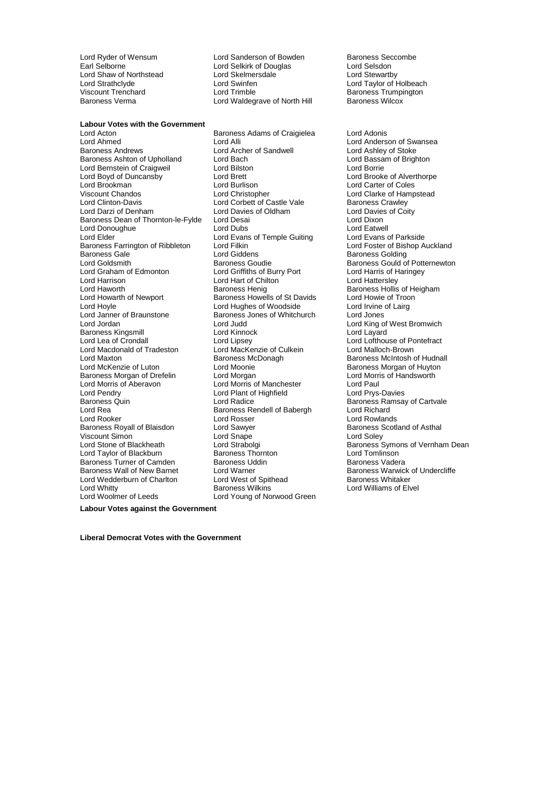Lord Shaw of Northstead Viscount Trenchard **Communist Contains Lord Trimble Baroness Trumpington**<br>Baroness Verma **Baroness Communist Communist Contains Contains Communist Communist Communist Communist Communist** 

Lord Ryder of Wensum Lord Sanderson of Bowden Baroness Seccombe<br>
Earl Selborne Carl Selsitic Cord Selsitic of Douglas Lord Selsidon Lord Selkirk of Douglas<br>
Lord Skelmersdale<br>
Lord Stewartby Lord Strathclyde Lord Swinfen Lord Strathclyde Lord Strathclyde Lord Taylor of Holbeach<br>
Lord Taylor of Holbeach<br>
Lord Trimble Lord Trimble Baroness Trumpington Lord Waldegrave of North Hill

**Labour Votes with the Government** Lord Acton Baroness Adams of Craigielea Lord Adonis Lord Ahmed Lord Alli Lord Alli Lord Anderson of Swansea<br>
Lord Anderson Swansea<br>
Lord Ashley of Stoke<br>
Lord Ashley of Stoke Baroness Ashton of Upholland Lord Bernstein of Craigweil **Lord Bilston** Lord Borrie Lord Borrie Lord Boyd of Duncansby Lord Brett Lord Brooke of Alverthorpe Lord Brookman Lord Burlison Lord Carter of Coles Lord Clinton-Davis **Lord Corbett of Castle Vale Corporation**<br>
Lord Davies of Corbett of Corbett of Castle Vale Baroness Crawley<br>
Lord Davies of Coity Baroness Dean of Thornton-le-Fylde Lord Desai<br>Lord Donoughue Lord Dubs Lord Donoughue **Lord Dubs**<br>
Lord Elder Lord Evans of Temple Guiting Lord Evans of Parkside Lord Elder The Lord Evans of Temple Guiting The Lord Evans of Parkside<br>Lord Evancess Farrington of Ribbleton Lord Filkin The Cord Evances Lord Foster of Bishop Auckland Baroness Farrington of Ribbleton Lord Filkin<br>Baroness Gale Lord Cilddens Baroness Gale **Baroness Golding**<br>
Lord Giddens **Baroness Golding**<br>
Lord Goldsmith **Baroness Goudie** Baroness Gould of Lord Goldsmith **Baroness Goudie**<br>
Baroness Goudie Baroness Gould of Potternewton<br>
Lord Graham of Edmonton Lord Griffiths of Burry Port Lord Harris of Haringey Lord Graham of Edmonton Lord Griffiths of Burry Port Lord Harris of Hearth Cord Harris of Hartersley<br>Lord Harrison Lord Hart of Chilton Lord Hartersley Lord Harrison **Lord Hart of Chilton**<br>
Lord Haworth **Contains Containers** Baroness Henig Lord Haworth **Baroness Henig** Baroness Henig Baroness Hollis of Heigham<br>
Lord Howarth of Newport Baroness Howells of St Davids Lord Howie of Troon Lord Howarth of Newport Baroness Howells of St Davids Lord Howie of Troon<br>
Lord Hoyle Cord Internal Lord Hughes of Woodside Lord Irvine of Lairg Lord Hoyle **Lord Hughes of Woodside** Lord Lord Irvine Lord Irvine Lord Irvine Lord Irvine Cord Jones<br>
Lord Janner of Braunstone **Baroness** Jones of Whitchurch Lord Jones Lord Jordan **Lord Judd** Lord Construction Lord Construction Lord King of West Bromwich Baroness Kingsmill Lord Kinnock Lord Layard Lord Macdonald of Tradeston Lord MacKenzie of Culture<br>Lord Maxton Lord Baroness McDonagh Lord Maxton **Baroness McDonagh** Baroness McDonagh Baroness McIntosh of Hudnall<br>
Lord McKenzie of Luton **Baroness McClonagh** Baroness Morgan of Huyton Baroness Morgan of Drefelin Lord Morgan Lord Morgan Lord Morris Cord Morris Cord Morris Cord Paul Lord Pendry **Communist Communist Communist Communist Communist Communist Communist Communist Communist Communist Communist Communist Communist Communist Communist Communist Communist Communist Communist Communist Communist** Baroness Quin **Exercise Server Control** Lord Radice **Control Control** Baroness Ramsay of Cartvale Baroness Rendell of Babergh and Richard Lord Rea<br>
Lord Rea Baroness Rendell of Babergh<br>
Lord Rooker Lord Rosser Baroness Royall of Blaisdon and Lord Sawyer **Baroness Scotland Scotland Corporation**<br>
Lord Solve Scotland of Asthala of Asthala of Asthala Corporation Corporation Corporation Corporation Corporatio<br>
Lord Solev Viscount Simon Lord Snape Lord Soley Lord Stone of Blackheath **Lord Strabolgi** Baroness Symons of Vernham Dean Lord Taylor of Blackburn **Baroness Thornton** Cord Tomlinson<br>Baroness Turner of Camden Baroness Uddin Baroness Vadera Baroness Turner of Camden Baroness Uddin Baroness Uddin Baroness Uddin Baroness Uddin Baroness Uddin Baroness U<br>Baroness Wall of New Barnet Baroness Unit Baroness Wall Lord Wedderburn of Charlton Lord West of Spithead Baroness Wilkins Lord Whitty **Baroness Wilkins** Lord Williams of Elvel Lord Woodmer of Leeds Lord Young of Norwood Green

Lord Archer of Sandwell Lord Ashley of Stoke<br>
Lord Bach<br>
Lord Bassam of Brighton Lord Davies of Oldham Lord Davies of Oldham Lord Davies of Coity<br>
Lord Desai Baroness Jones of Whitchurch Lord Lipsey<br>
Lord MacKenzie of Culkein<br>
Lord Malloch-Brown Lord Moonie  $\overline{\phantom{a}}$  and Definition Baroness Morgan of Huyton Lord Morris of Handsworth Lord Morris of Manchester Lord Rosser **Lord Rowlands**<br> **Lord Sawyer Communist Constrainer Baroness Scotland of Asthal** Lord Young of Norwood Green

Lord Clarke of Hampstead Lord Warner **Baroness Warwick of Undercliffe**<br>
Lord West of Spithead<br>
Baroness Whitaker

**Labour Votes against the Government**

**Liberal Democrat Votes with the Government**